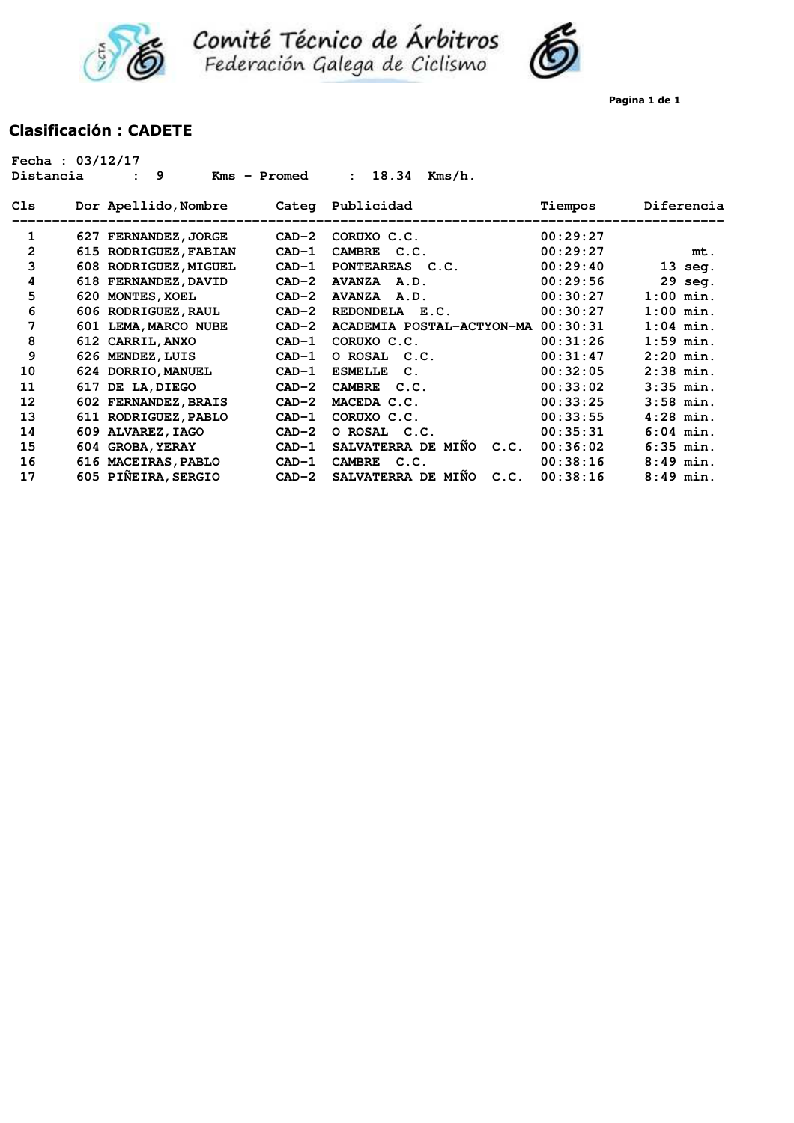





### **Clasificación : CADETE**

| Fecha : $03/12/17$<br>Distancia | 9<br>Kms - Promed     |         | : 18.34<br>$Kms/h$ .               |          |             |
|---------------------------------|-----------------------|---------|------------------------------------|----------|-------------|
| Cls                             | Dor Apellido, Nombre  |         | Categ Publicidad                   | Tiempos  | Diferencia  |
| 1                               | 627 FERNANDEZ, JORGE  | $CAD-2$ | CORUXO C.C.                        | 00:29:27 |             |
| $\overline{2}$                  | 615 RODRIGUEZ, FABIAN | $CAD-1$ | <b>CAMBRE</b><br>C.C.              | 00:29:27 | mt.         |
| 3                               | 608 RODRIGUEZ, MIGUEL | $CAD-1$ | PONTEAREAS C.C.                    | 00:29:40 | $13$ seg.   |
| 4                               | 618 FERNANDEZ, DAVID  | $CAD-2$ | AVANZA A.D.                        | 00:29:56 | 29 seg.     |
| 5                               | 620 MONTES, XOEL      | $CAD-2$ | AVANZA A.D.                        | 00:30:27 | $1:00$ min. |
| 6                               | 606 RODRIGUEZ, RAUL   | $CAD-2$ | REDONDELA E.C.                     | 00:30:27 | $1:00$ min. |
| 7                               | 601 LEMA, MARCO NUBE  | $CAD-2$ | ACADEMIA POSTAL-ACTYON-MA 00:30:31 |          | $1:04$ min. |
| 8                               | 612 CARRIL, ANXO      | $CAD-1$ | CORUXO C.C.                        | 00:31:26 | $1:59$ min. |
| 9                               | 626 MENDEZ, LUIS      | $CAD-1$ | O ROSAL C.C.                       | 00:31:47 | $2:20$ min. |
| 10                              | 624 DORRIO, MANUEL    | $CAD-1$ | ESMELLE C.                         | 00:32:05 | $2:38$ min. |
| 11                              | 617 DE LA, DIEGO      | $CAD-2$ | CAMBRE C.C.                        | 00:33:02 | $3:35$ min. |
| 12                              | 602 FERNANDEZ, BRAIS  | $CAD-2$ | MACEDA C.C.                        | 00:33:25 | $3:58$ min. |
| 13                              | 611 RODRIGUEZ, PABLO  | $CAD-1$ | CORUXO C.C.                        | 00:33:55 | $4:28$ min. |
| 14                              | 609 ALVAREZ, IAGO     | $CAD-2$ | O ROSAL C.C.                       | 00:35:31 | $6:04$ min. |
| 15                              | 604 GROBA, YERAY      | $CAD-1$ | SALVATERRA DE MIÑO C.C.            | 00:36:02 | $6:35$ min. |
| 16                              | 616 MACEIRAS, PABLO   | $CAD-1$ | <b>CAMBRE</b><br>C.C.              | 00:38:16 | $8:49$ min. |
| 17                              | 605 PIÑEIRA, SERGIO   | $CAD-2$ | SALVATERRA DE MINO<br>C.C.         | 00:38:16 | $8:49$ min. |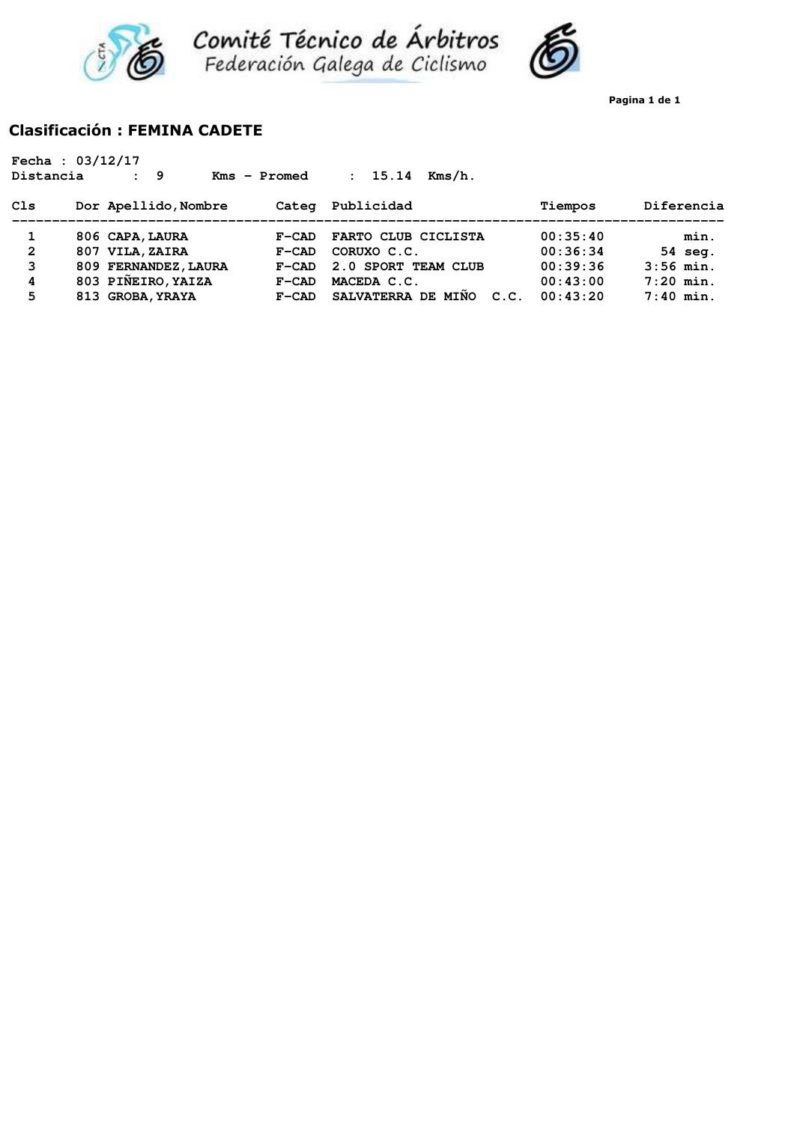





#### **Clasificación : FEMINA CADETE**

| Fecha : $03/12/17$<br>Distancia | 9                    | Kms - Promed | 15.14<br>Kms/h.<br>$\mathbf{r}$ |          |             |
|---------------------------------|----------------------|--------------|---------------------------------|----------|-------------|
| Cls                             | Dor Apellido, Nombre | Categ        | Publicidad                      | Tiempos  | Diferencia  |
| 1                               | 806 CAPA, LAURA      | $F-CAD$      | FARTO CLUB CICLISTA             | 00:35:40 | min.        |
| $\overline{2}$                  | 807 VILA, ZAIRA      | $F-CAD$      | CORUXO C.C.                     | 00:36:34 | $54$ seq.   |
| 3                               | 809 FERNANDEZ, LAURA | $F-CAD$      | 2.0 SPORT TEAM CLUB             | 00:39:36 | $3:56$ min. |
| 4                               | 803 PIÑEIRO, YAIZA   | $F-CAD$      | MACEDA C.C.                     | 00:43:00 | $7:20$ min. |
| 5                               | 813 GROBA, YRAYA     | $F-CAD$      | SALVATERRA DE MINO<br>C.C.      | 00:43:20 | $7:40$ min. |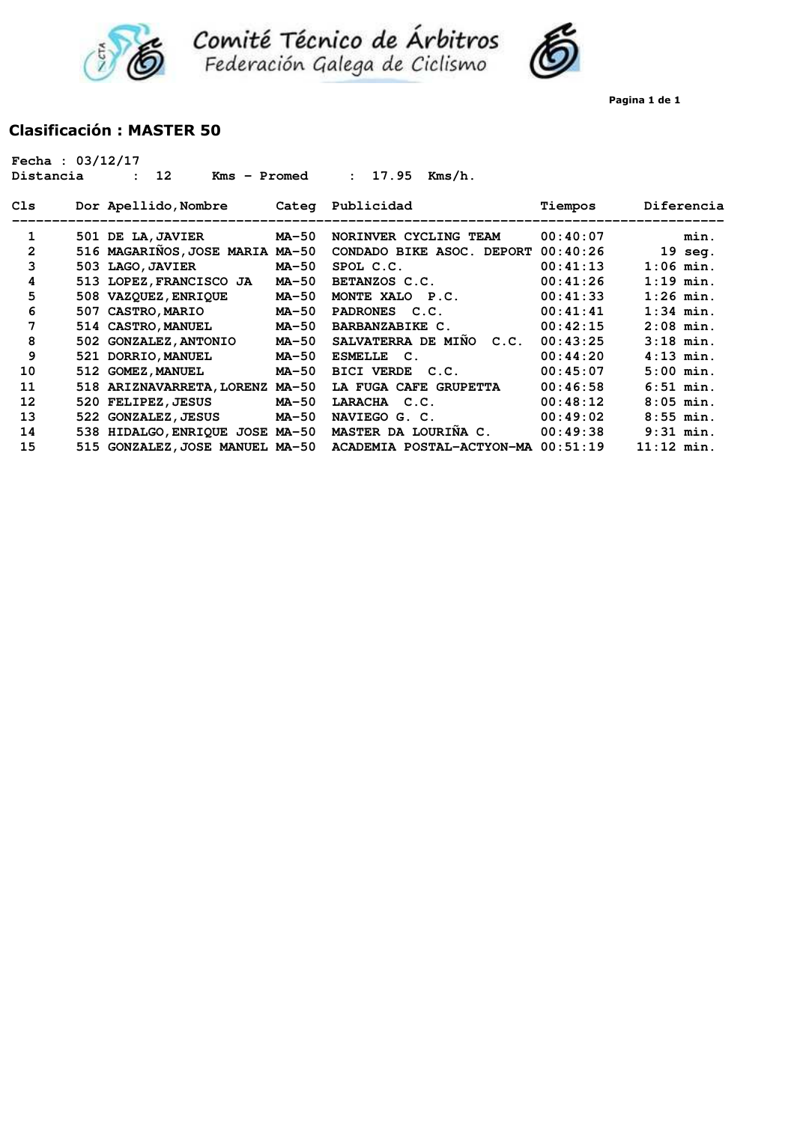



**Pagina 1 de 1**

### **Clasificación : MASTER 50**

| Fecha : $03/12/17$<br>Distancia | 12<br>Kms - Promed                                         |              | Kms/h.<br>: 17.95                    |          |              |
|---------------------------------|------------------------------------------------------------|--------------|--------------------------------------|----------|--------------|
| Cls                             | Dor Apellido, Nombre Categ Publicidad<br>----------------- |              | ------------------------------------ | Tiempos  | Diferencia   |
| $\mathbf{1}$                    | 501 DE LA, JAVIER                                          | <b>MA-50</b> | NORINVER CYCLING TEAM                | 00:40:07 | min.         |
| $\overline{2}$                  | 516 MAGARIÑOS, JOSE MARIA MA-50                            |              | CONDADO BIKE ASOC. DEPORT            | 00:40:26 | $19$ seg.    |
| 3                               | 503 LAGO, JAVIER                                           | <b>MA-50</b> | SPOL C.C.                            | 00:41:13 | $1:06$ min.  |
| 4                               | 513 LOPEZ, FRANCISCO JA                                    | <b>MA-50</b> | BETANZOS C.C.                        | 00:41:26 | $1:19$ min.  |
| 5                               | 508 VAZQUEZ, ENRIQUE                                       | <b>MA-50</b> | MONTE XALO P.C.                      | 00:41:33 | $1:26$ min.  |
| 6                               | 507 CASTRO, MARIO                                          | <b>MA-50</b> | PADRONES C.C.                        | 00:41:41 | $1:34$ min.  |
| 7                               | 514 CASTRO, MANUEL                                         | <b>MA-50</b> | BARBANZABIKE C.                      | 00:42:15 | $2:08$ min.  |
| 8                               | 502 GONZALEZ, ANTONIO                                      | <b>MA-50</b> | SALVATERRA DE MIÑO C.C.              | 00:43:25 | $3:18$ min.  |
| 9                               | 521 DORRIO, MANUEL                                         | <b>MA-50</b> | ESMELLE C.                           | 00:44:20 | $4:13$ min.  |
| 10                              | 512 GOMEZ, MANUEL                                          | <b>MA-50</b> | BICI VERDE C.C.                      | 00:45:07 | $5:00$ min.  |
| 11                              | 518 ARIZNAVARRETA, LORENZ MA-50                            |              | LA FUGA CAFE GRUPETTA                | 00:46:58 | $6:51$ min.  |
| 12                              | 520 FELIPEZ, JESUS                                         | <b>MA-50</b> | LARACHA C.C.                         | 00:48:12 | $8:05$ min.  |
| 13                              | 522 GONZALEZ, JESUS                                        | <b>MA-50</b> | NAVIEGO G. C.                        | 00:49:02 | $8:55$ min.  |
| 14                              | 538 HIDALGO, ENRIQUE JOSE MA-50                            |              | MASTER DA LOURINA C.                 | 00:49:38 | $9:31$ min.  |
| 15                              | 515 GONZALEZ, JOSE MANUEL MA-50                            |              | ACADEMIA POSTAL-ACTYON-MA 00:51:19   |          | $11:12$ min. |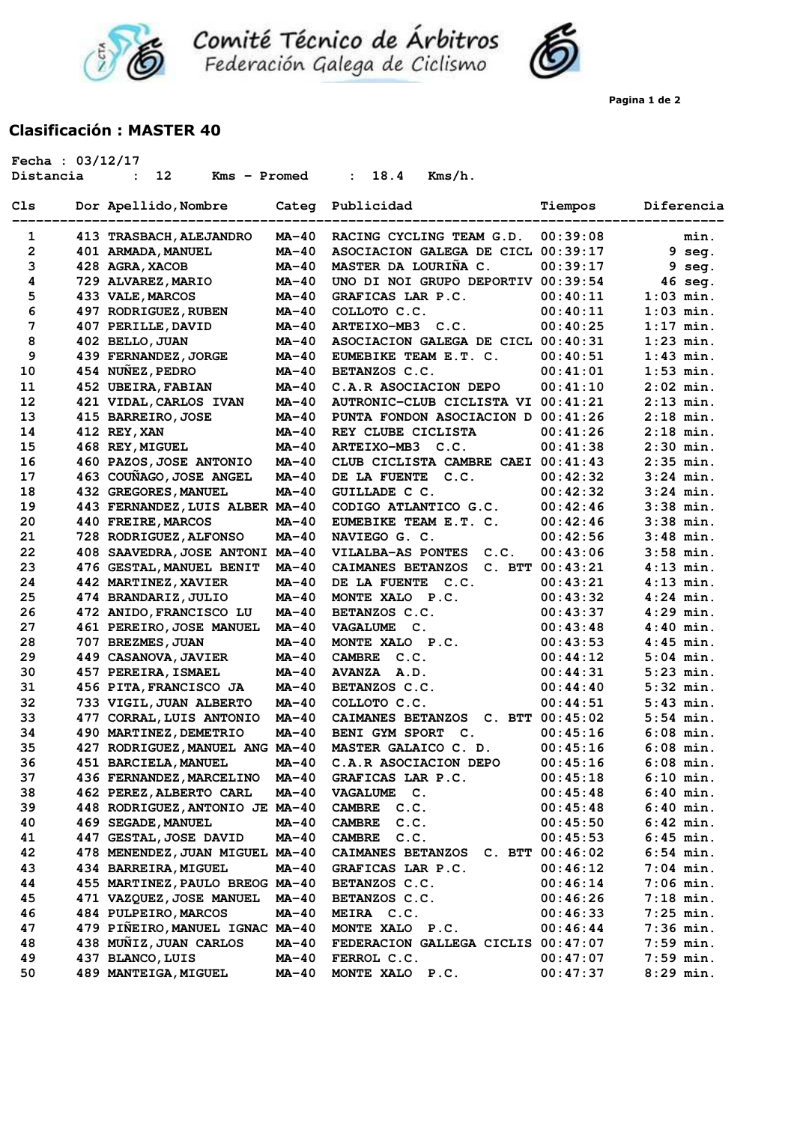



**Pagina 1 de 2**

### **Clasificación : MASTER 40**

| Fecha : $03/12/17$<br>Distancia | 12<br>$Kms - Promed$<br>$\ddot{\cdot}$ |              | 18.4<br>$Kms/h$ .<br>$\mathbf{L}$  |                 |             |
|---------------------------------|----------------------------------------|--------------|------------------------------------|-----------------|-------------|
| Cls                             | Dor Apellido, Nombre                   |              | Categ Publicidad                   | Tiempos         | Diferencia  |
| 1                               | 413 TRASBACH, ALEJANDRO                | <b>MA-40</b> | RACING CYCLING TEAM G.D.           | 00:39:08        | min.        |
| $\mathbf{2}$                    | 401 ARMADA, MANUEL                     | MA-40        | ASOCIACION GALEGA DE CICL 00:39:17 |                 | 9 seg.      |
| 3                               | 428 AGRA, XACOB                        | MA-40        | MASTER DA LOURIÑA C.               | 00:39:17        | 9 seg.      |
| 4                               | 729 ALVAREZ, MARIO                     | MA-40        | UNO DI NOI GRUPO DEPORTIV 00:39:54 |                 | 46 seg.     |
| 5                               | 433 VALE, MARCOS                       | MA-40        | GRAFICAS LAR P.C.                  | 00:40:11        | $1:03$ min. |
| 6                               | 497 RODRIGUEZ, RUBEN                   | $MA-40$      | COLLOTO C.C.                       | 00:40:11        | $1:03$ min. |
| 7                               | 407 PERILLE, DAVID                     | MA-40        | ARTEIXO-MB3 C.C.                   | 00:40:25        | $1:17$ min. |
| 8                               | 402 BELLO, JUAN                        | MA-40        | ASOCIACION GALEGA DE CICL 00:40:31 |                 | $1:23$ min. |
| 9                               | 439 FERNANDEZ, JORGE                   | MA-40        | EUMEBIKE TEAM E.T. C.              | 00:40:51        | $1:43$ min. |
| 10                              | 454 NUÑEZ, PEDRO                       | MA-40        | BETANZOS C.C.                      | 00:41:01        | $1:53$ min. |
| 11                              | 452 UBEIRA, FABIAN                     | MA-40        | C.A.R ASOCIACION DEPO              | 00:41:10        | $2:02$ min. |
| 12                              | 421 VIDAL, CARLOS IVAN                 | $MA-40$      | AUTRONIC-CLUB CICLISTA VI 00:41:21 |                 | $2:13$ min. |
| 13                              | 415 BARREIRO, JOSE                     | $MA-40$      | PUNTA FONDON ASOCIACION D 00:41:26 |                 | $2:18$ min. |
| 14                              | 412 REY, XAN                           | <b>MA-40</b> | REY CLUBE CICLISTA                 | 00:41:26        | $2:18$ min. |
| 15                              | 468 REY, MIGUEL                        | $MA-40$      | ARTEIXO-MB3 C.C.                   | 00:41:38        | $2:30$ min. |
| 16                              | 460 PAZOS, JOSE ANTONIO                | <b>MA-40</b> | CLUB CICLISTA CAMBRE CAEI 00:41:43 |                 | $2:35$ min. |
| 17                              | 463 COUÑAGO, JOSE ANGEL                | MA-40        | DE LA FUENTE C.C.                  | 00:42:32        | $3:24$ min. |
| 18                              | 432 GREGORES, MANUEL                   | MA-40        | GUILLADE C C.                      | 00:42:32        | $3:24$ min. |
| 19                              | 443 FERNANDEZ, LUIS ALBER MA-40        |              | CODIGO ATLANTICO G.C.              | 00:42:46        | $3:38$ min. |
| 20                              | 440 FREIRE, MARCOS                     | MA-40        | EUMEBIKE TEAM E.T. C.              | 00:42:46        | $3:38$ min. |
| 21                              | 728 RODRIGUEZ, ALFONSO                 | $MA-40$      | NAVIEGO G. C.                      | 00:42:56        | $3:48$ min. |
| 22                              | 408 SAAVEDRA, JOSE ANTONI MA-40        |              | VILALBA-AS PONTES C.C.             | 00:43:06        | $3:58$ min. |
| 23                              | 476 GESTAL, MANUEL BENIT               | $MA-40$      | <b>CAIMANES BETANZOS</b>           | C. BTT 00:43:21 | $4:13$ min. |
| 24                              | 442 MARTINEZ, XAVIER                   | MA-40        | DE LA FUENTE C.C.                  | 00:43:21        | $4:13$ min. |
| 25                              | 474 BRANDARIZ, JULIO                   | <b>MA-40</b> | MONTE XALO P.C.                    | 00:43:32        | $4:24$ min. |
| 26                              | 472 ANIDO, FRANCISCO LU                | MA-40        | BETANZOS C.C.                      | 00:43:37        | $4:29$ min. |
| 27                              | 461 PEREIRO, JOSE MANUEL               | MA-40        | VAGALUME C.                        | 00:43:48        | $4:40$ min. |
| 28                              | 707 BREZMES, JUAN                      | MA-40        | MONTE XALO P.C.                    | 00:43:53        | $4:45$ min. |
| 29                              | 449 CASANOVA, JAVIER                   | $MA-40$      | <b>CAMBRE</b><br>C.C.              | 00:44:12        | $5:04$ min. |
| 30                              | 457 PEREIRA, ISMAEL                    | MA-40        | AVANZA A.D.                        | 00:44:31        | $5:23$ min. |
| 31                              | 456 PITA, FRANCISCO JA                 | <b>MA-40</b> | BETANZOS C.C.                      | 00:44:40        | $5:32$ min. |
| 32                              | 733 VIGIL, JUAN ALBERTO                | <b>MA-40</b> | COLLOTO C.C.                       | 00:44:51        | $5:43$ min. |
| 33                              | 477 CORRAL, LUIS ANTONIO               | <b>MA-40</b> | CAIMANES BETANZOS C. BTT 00:45:02  |                 | $5:54$ min. |
| 34                              | 490 MARTINEZ, DEMETRIO                 | $MA-40$      | BENI GYM SPORT<br>$\mathbf{C}$ .   | 00:45:16        | $6:08$ min. |
| 35                              | 427 RODRIGUEZ, MANUEL ANG MA-40        |              | MASTER GALAICO C. D.               | 00:45:16        | $6:08$ min. |
| 36                              | 451 BARCIELA, MANUEL                   | <b>MA-40</b> | C.A.R ASOCIACION DEPO              | 00:45:16        | $6:08$ min. |
| 37                              | 436 FERNANDEZ, MARCELINO MA-40         |              | GRAFICAS LAR P.C.                  | 00:45:18        | $6:10$ min. |
| 38                              | 462 PEREZ, ALBERTO CARL                | <b>MA-40</b> | VAGALUME C.                        | 00:45:48        | $6:40$ min. |
| 39                              | 448 RODRIGUEZ, ANTONIO JE MA-40        |              | CAMBRE C.C.                        | 00:45:48        | $6:40$ min. |
| 40                              | <b>469 SEGADE, MANUEL</b>              | MA-40        | CAMBRE C.C.                        | 00:45:50        | $6:42$ min. |
| 41                              | 447 GESTAL, JOSE DAVID                 | MA-40        | CAMBRE C.C.                        | 00:45:53        | $6:45$ min. |
| 42                              | 478 MENENDEZ, JUAN MIGUEL MA-40        |              | CAIMANES BETANZOS C. BTT 00:46:02  |                 | $6:54$ min. |
| 43                              | 434 BARREIRA, MIGUEL                   | MA-40        | GRAFICAS LAR P.C.                  | 00:46:12        | $7:04$ min. |
| 44                              | 455 MARTINEZ, PAULO BREOG MA-40        |              | BETANZOS C.C.                      | 00:46:14        | $7:06$ min. |
| 45                              | 471 VAZQUEZ, JOSE MANUEL               | MA-40        | BETANZOS C.C.                      | 00:46:26        | $7:18$ min. |
| 46                              | 484 PULPEIRO, MARCOS                   | <b>MA-40</b> | MEIRA C.C.                         | 00:46:33        | $7:25$ min. |
| 47                              | 479 PIÑEIRO, MANUEL IGNAC MA-40        |              | MONTE XALO P.C.                    | 00:46:44        | $7:36$ min. |
| 48                              | 438 MUÑIZ, JUAN CARLOS                 | <b>MA-40</b> | FEDERACION GALLEGA CICLIS 00:47:07 |                 | $7:59$ min. |
| 49                              | 437 BLANCO, LUIS                       | MA-40        | FERROL C.C.                        | 00:47:07        | $7:59$ min. |
| 50                              | 489 MANTEIGA, MIGUEL                   | <b>MA-40</b> | MONTE XALO P.C.                    | 00:47:37        | $8:29$ min. |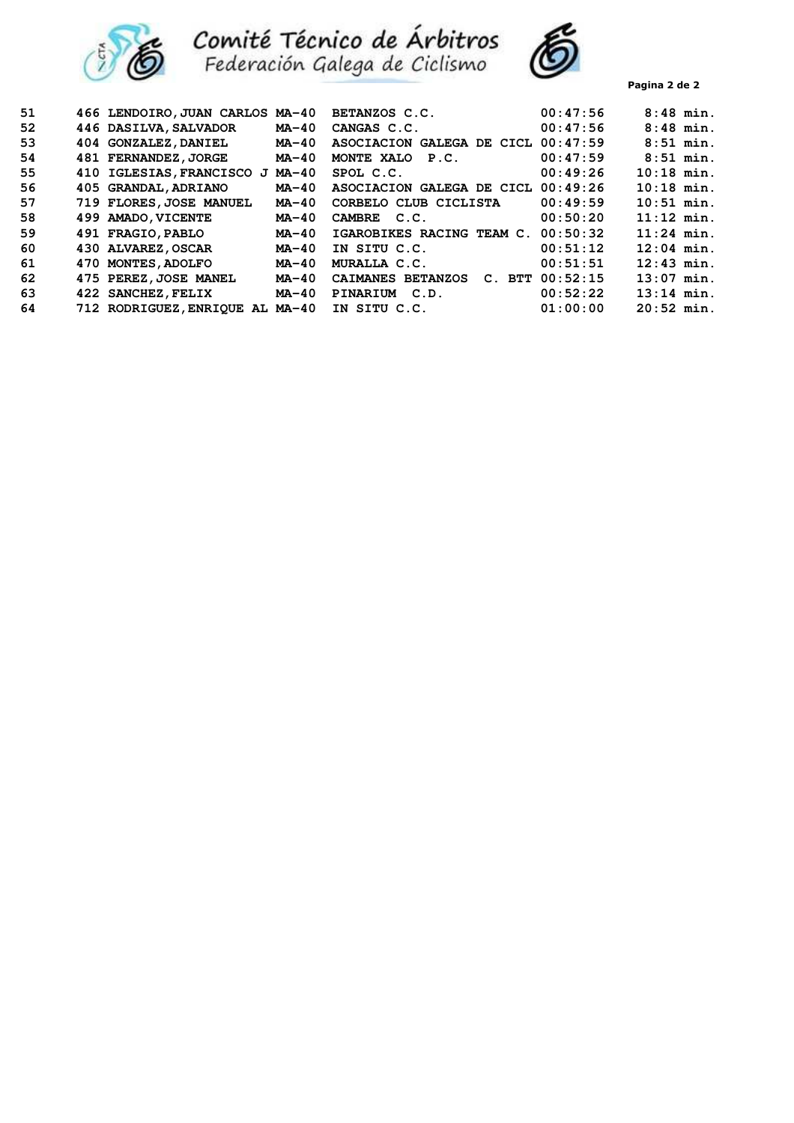

Comité Técnico de Árbitros<br>Federación Galega de Ciclismo



| 51 | 466 LENDOIRO, JUAN CARLOS MA-40         |              | BETANZOS C.C.                      | 00:47:56 | $8:48$ min.  |
|----|-----------------------------------------|--------------|------------------------------------|----------|--------------|
| 52 | 446 DASILVA, SALVADOR                   | $MA-40$      | CANGAS C.C.                        | 00:47:56 | $8:48$ min.  |
| 53 | 404 GONZALEZ, DANIEL                    | MA-40        | ASOCIACION GALEGA DE CICL 00:47:59 |          | $8:51$ min.  |
| 54 | 481 FERNANDEZ, JORGE                    | MA-40        | MONTE XALO<br>P.C.                 | 00:47:59 | $8:51$ min.  |
| 55 | 410 IGLESIAS, FRANCISCO<br>$\mathbf{J}$ | MA-40        | SPOL C.C.                          | 00:49:26 | $10:18$ min. |
| 56 | 405 GRANDAL, ADRIANO                    | MA-40        | ASOCIACION GALEGA DE CICL 00:49:26 |          | $10:18$ min. |
| 57 | 719 FLORES, JOSE MANUEL                 | $MA-40$      | CORBELO CLUB CICLISTA              | 00:49:59 | $10:51$ min. |
| 58 | 499 AMADO, VICENTE                      | MA-40        | <b>CAMBRE</b><br>C.C.              | 00:50:20 | $11:12$ min. |
| 59 | 491 FRAGIO, PABLO                       | $MA-40$      | IGAROBIKES RACING TEAM C.          | 00:50:32 | $11:24$ min. |
| 60 | 430 ALVAREZ, OSCAR                      | $MA-40$      | IN SITU C.C.                       | 00:51:12 | $12:04$ min. |
| 61 | 470 MONTES, ADOLFO                      | MA-40        | MURALLA C.C.                       | 00:51:51 | $12:43$ min. |
| 62 | 475 PEREZ, JOSE MANEL                   | MA-40        | C. BTT<br>CAIMANES BETANZOS        | 00:52:15 | $13:07$ min. |
| 63 | 422 SANCHEZ, FELIX                      | <b>MA-40</b> | PINARIUM C.D.                      | 00:52:22 | $13:14$ min. |
| 64 | 712 RODRIGUEZ, ENRIQUE AL MA-40         |              | IN SITU C.C.                       | 01:00:00 | $20:52$ min. |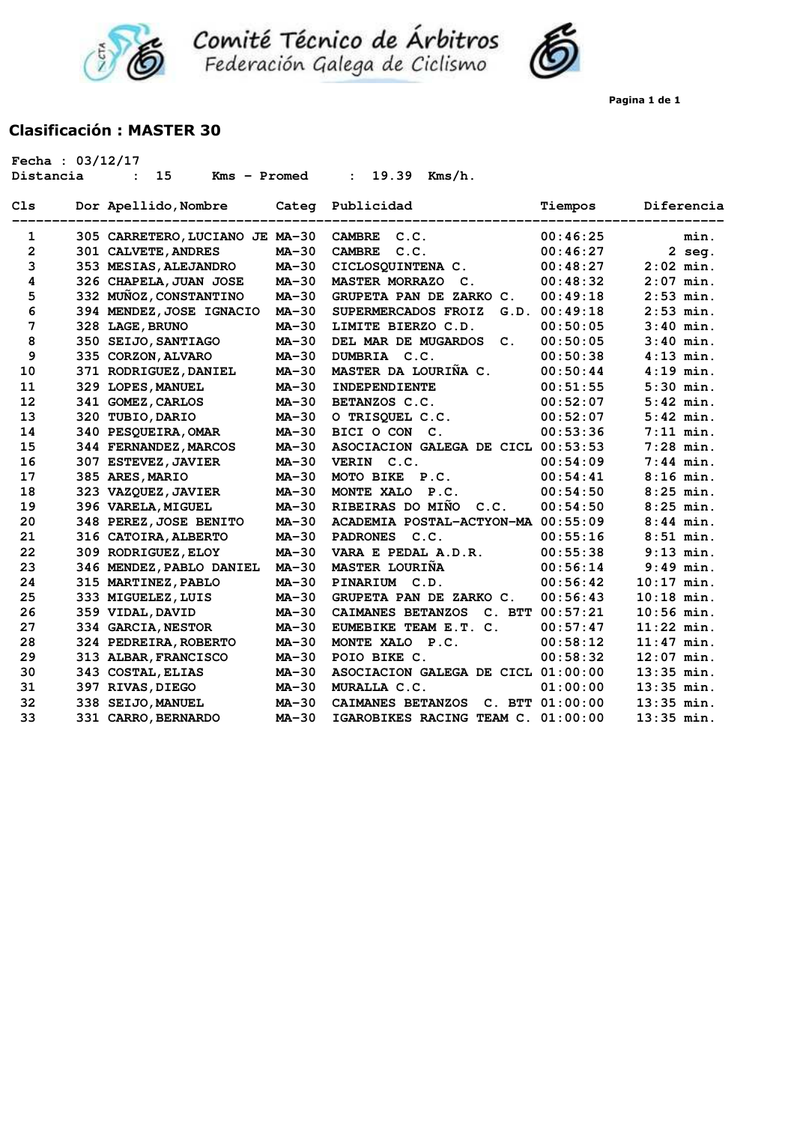



**Pagina 1 de 1**

## **Clasificación : MASTER 30**

| Fecha : $03/12/17$<br>Distancia | 15<br>Kms - Promed<br>$\ddot{\phantom{a}}$ |              | : $19.39$ Kms/h.                      |          |              |
|---------------------------------|--------------------------------------------|--------------|---------------------------------------|----------|--------------|
| C1s                             | Dor Apellido, Nombre Categ Publicidad      |              |                                       | Tiempos  | Diferencia   |
| 1                               | 305 CARRETERO, LUCIANO JE MA-30            |              | <b>CAMBRE</b><br>C.C.                 | 00:46:25 | min.         |
| $\overline{2}$                  | 301 CALVETE, ANDRES                        | MA-30        | C.C.<br><b>CAMBRE</b>                 | 00:46:27 | $2$ seg.     |
| 3                               | 353 MESIAS, ALEJANDRO                      | <b>MA-30</b> | CICLOSQUINTENA C.                     | 00:48:27 | $2:02$ min.  |
| 4                               | 326 CHAPELA, JUAN JOSE                     | $MA-30$      | MASTER MORRAZO C.                     | 00:48:32 | $2:07$ min.  |
| 5                               | 332 MUÑOZ, CONSTANTINO                     | $MA-30$      | GRUPETA PAN DE ZARKO C.               | 00:49:18 | $2:53$ min.  |
| 6                               | 394 MENDEZ, JOSE IGNACIO                   | $MA-30$      | SUPERMERCADOS FROIZ<br>G.D.           | 00:49:18 | $2:53$ min.  |
| $\overline{7}$                  | 328 LAGE, BRUNO                            | $MA-30$      | LIMITE BIERZO C.D.                    | 00:50:05 | $3:40$ min.  |
| 8                               | 350 SEIJO, SANTIAGO                        | <b>MA-30</b> | DEL MAR DE MUGARDOS<br>$\mathbf{C}$ . | 00:50:05 | $3:40$ min.  |
| 9                               | 335 CORZON, ALVARO                         | <b>MA-30</b> | DUMBRIA C.C.                          | 00:50:38 | $4:13$ min.  |
| 10                              | 371 RODRIGUEZ, DANIEL                      | $MA-30$      | MASTER DA LOURIÑA C.                  | 00:50:44 | $4:19$ min.  |
| 11                              | 329 LOPES, MANUEL                          | $MA-30$      | INDEPENDIENTE                         | 00:51:55 | $5:30$ min.  |
| 12                              | 341 GOMEZ, CARLOS                          | <b>MA-30</b> | BETANZOS C.C.                         | 00:52:07 | $5:42$ min.  |
| 13                              | 320 TUBIO, DARIO                           | <b>MA-30</b> | O TRISQUEL C.C.                       | 00:52:07 | $5:42$ min.  |
| 14                              | 340 PESQUEIRA, OMAR                        | $MA-30$      | BICI O CON C.                         | 00:53:36 | $7:11$ min.  |
| 15                              | 344 FERNANDEZ, MARCOS                      | <b>MA-30</b> | ASOCIACION GALEGA DE CICL 00:53:53    |          | $7:28$ min.  |
| 16                              | 307 ESTEVEZ, JAVIER                        | <b>MA-30</b> | VERIN C.C.                            | 00:54:09 | $7:44$ min.  |
| 17                              | 385 ARES, MARIO                            | <b>MA-30</b> | MOTO BIKE P.C.                        | 00:54:41 | $8:16$ min.  |
| 18                              | 323 VAZQUEZ, JAVIER                        | <b>MA-30</b> | MONTE XALO P.C.                       | 00:54:50 | $8:25$ min.  |
| 19                              | 396 VARELA, MIGUEL                         | <b>MA-30</b> | RIBEIRAS DO MIÑO C.C.                 | 00:54:50 | $8:25$ min.  |
| 20                              | 348 PEREZ, JOSE BENITO                     | <b>MA-30</b> | ACADEMIA POSTAL-ACTYON-MA 00:55:09    |          | $8:44$ min.  |
| 21                              | 316 CATOIRA, ALBERTO                       | <b>MA-30</b> | PADRONES C.C.                         | 00:55:16 | $8:51$ min.  |
| 22                              | 309 RODRIGUEZ, ELOY                        | <b>MA-30</b> | VARA E PEDAL A.D.R.                   | 00:55:38 | $9:13$ min.  |
| 23                              | 346 MENDEZ, PABLO DANIEL                   | <b>MA-30</b> | <b>MASTER LOURIÑA</b>                 | 00:56:14 | $9:49$ min.  |
| 24                              | 315 MARTINEZ, PABLO                        | $MA-30$      | PINARIUM C.D.                         | 00:56:42 | $10:17$ min. |
| 25                              | 333 MIGUELEZ, LUIS                         | <b>MA-30</b> | GRUPETA PAN DE ZARKO C.               | 00:56:43 | $10:18$ min. |
| 26                              | 359 VIDAL, DAVID                           | <b>MA-30</b> | CAIMANES BETANZOS C. BTT 00:57:21     |          | $10:56$ min. |
| 27                              | 334 GARCIA, NESTOR                         | $MA-30$      | EUMEBIKE TEAM E.T. C.                 | 00:57:47 | $11:22$ min. |
| 28                              | 324 PEDREIRA, ROBERTO                      | $MA-30$      | MONTE XALO P.C.                       | 00:58:12 | $11:47$ min. |
| 29                              | 313 ALBAR, FRANCISCO                       | <b>MA-30</b> | POIO BIKE C.                          | 00:58:32 | $12:07$ min. |
| 30                              | 343 COSTAL, ELIAS                          | <b>MA-30</b> | ASOCIACION GALEGA DE CICL 01:00:00    |          | $13:35$ min. |
| 31                              | 397 RIVAS, DIEGO                           | $MA-30$      | MURALLA C.C.                          | 01:00:00 | $13:35$ min. |
| 32                              | 338 SEIJO, MANUEL                          | <b>MA-30</b> | CAIMANES BETANZOS C. BTT 01:00:00     |          | $13:35$ min. |
| 33                              | 331 CARRO, BERNARDO                        | $MA-30$      | IGAROBIKES RACING TEAM C. 01:00:00    |          | $13:35$ min. |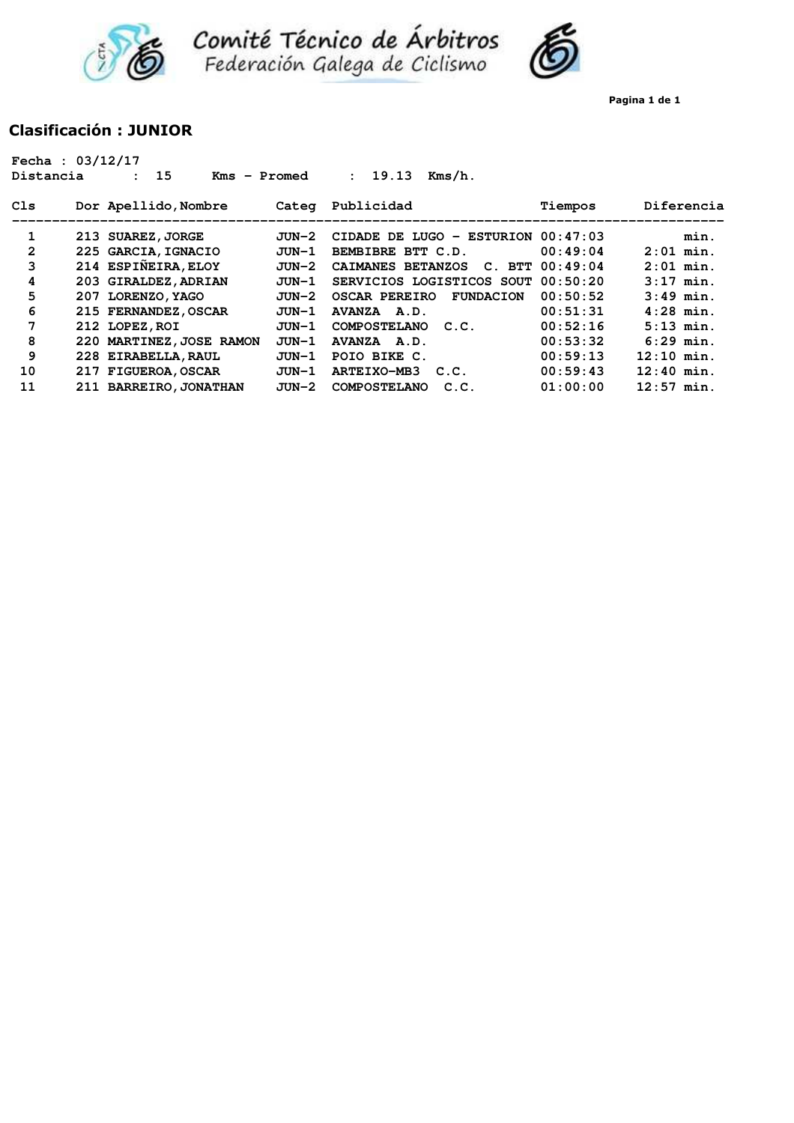



**Pagina 1 de 1**

## **Clasificación : JUNIOR**

| Fecha : $03/12/17$ |                          |       |                                          |          |              |
|--------------------|--------------------------|-------|------------------------------------------|----------|--------------|
| Distancia          | 15<br>Kms - Promed       |       | 19.13<br>Kms/h.<br>$\mathbf{r}$          |          |              |
| Cls                | Dor Apellido, Nombre     |       | Categ Publicidad                         | Tiempos  | Diferencia   |
| 1                  | 213 SUAREZ, JORGE        | JUN-2 | CIDADE DE LUGO - ESTURION $00:47:03$     |          | min.         |
| $\mathbf{2}$       | 225 GARCIA, IGNACIO      | JUN-1 | BEMBIBRE BTT C.D.                        | 00:49:04 | $2:01$ min.  |
| 3                  | 214 ESPIÑEIRA, ELOY      | JUN-2 | CAIMANES BETANZOS<br>C. BTT              | 00:49:04 | $2:01$ min.  |
| 4                  | 203 GIRALDEZ, ADRIAN     | JUN-1 | SERVICIOS LOGISTICOS SOUT 00:50:20       |          | $3:17$ min.  |
| 5                  | 207 LORENZO, YAGO        | JUN-2 | <b>OSCAR PEREIRO</b><br><b>FUNDACION</b> | 00:50:52 | $3:49$ min.  |
| 6                  | 215 FERNANDEZ, OSCAR     | JUN-1 | AVANZA A.D.                              | 00:51:31 | $4:28$ min.  |
| 7                  | 212 LOPEZ, ROI           | JUN-1 | <b>COMPOSTELANO</b><br>C.C.              | 00:52:16 | $5:13$ min.  |
| 8                  | 220 MARTINEZ, JOSE RAMON | JUN-1 | AVANZA A.D.                              | 00:53:32 | $6:29$ min.  |
| 9                  | 228 EIRABELLA, RAUL      | JUN-1 | POIO BIKE C.                             | 00:59:13 | $12:10$ min. |
| 10                 | 217 FIGUEROA, OSCAR      | JUN-1 | ARTEIXO-MB3<br>C.C.                      | 00:59:43 | $12:40$ min. |
| 11                 | 211 BARREIRO, JONATHAN   | JUN-2 | <b>COMPOSTELANO</b><br>C.C.              | 01:00:00 | $12:57$ min. |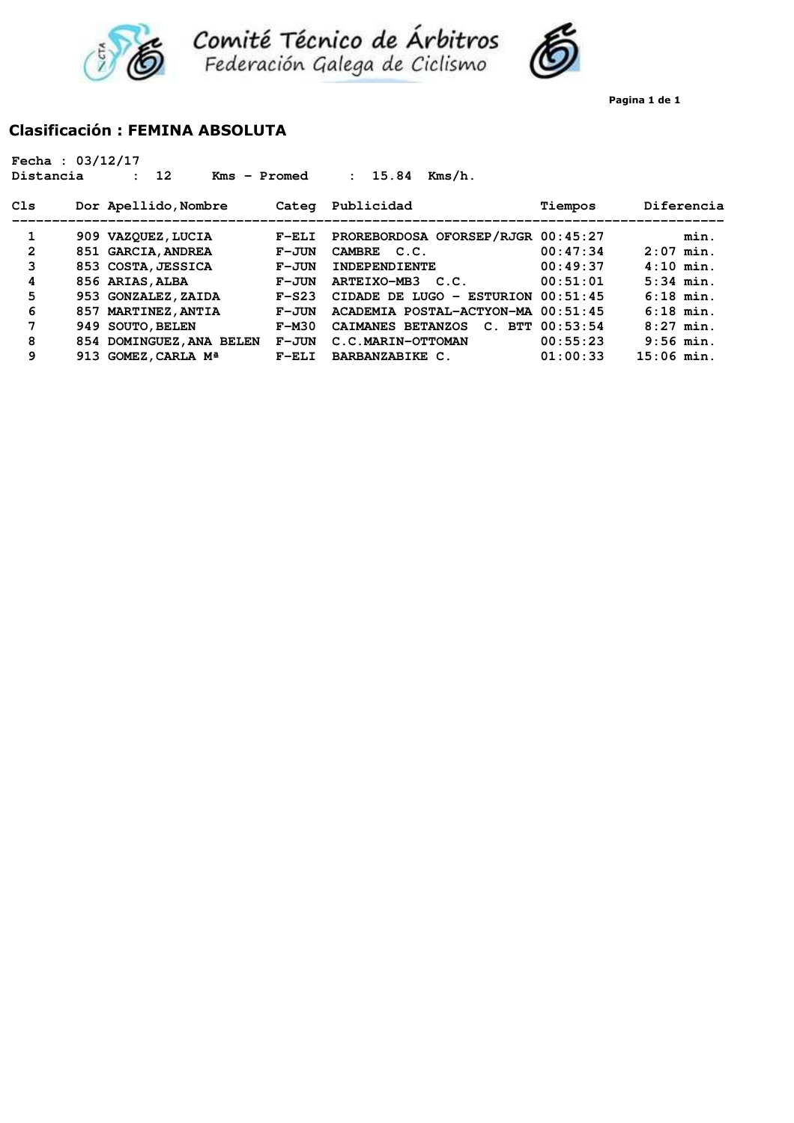





### **Clasificación : FEMINA ABSOLUTA**

| Fecha : $03/12/17$<br>Distancia | 12<br>Kms - Promed       |         | 15.84<br>Kms/h.<br>$\mathbf{r}$      |                     |              |
|---------------------------------|--------------------------|---------|--------------------------------------|---------------------|--------------|
| Cls                             | Dor Apellido, Nombre     | Categ   | Publicidad                           | Tiempos             | Diferencia   |
| 1                               | 909 VAZQUEZ, LUCIA       | $F-ELI$ | PROREBORDOSA OFORSEP/RJGR 00:45:27   |                     | min.         |
| $\overline{2}$                  | 851 GARCIA, ANDREA       | $F-JUN$ | CAMBRE C.C.                          | 00:47:34            | $2:07$ min.  |
| 3                               | 853 COSTA, JESSICA       | $F-JUN$ | <b>INDEPENDIENTE</b>                 | 00:49:37            | $4:10$ min.  |
| 4                               | 856 ARIAS, ALBA          | $F-JUN$ | ARTEIXO-MB3 C.C.                     | 00:51:01            | $5:34$ min.  |
| 5                               | 953 GONZALEZ, ZAIDA      | $F-S23$ | CIDADE DE LUGO - ESTURION $00:51:45$ |                     | $6:18$ min.  |
| 6                               | 857 MARTINEZ, ANTIA      | $F-JUN$ | ACADEMIA POSTAL-ACTYON-MA 00:51:45   |                     | $6:18$ min.  |
| 7                               | 949 SOUTO, BELEN         | $F-M30$ | CAIMANES BETANZOS                    | $C.$ BTT $00:53:54$ | $8:27$ min.  |
| 8                               | 854 DOMINGUEZ, ANA BELEN | $F-JUN$ | C.C.MARIN-OTTOMAN                    | 00:55:23            | $9:56$ min.  |
| 9                               | 913 GOMEZ, CARLA Mª      | $F-ELI$ | BARBANZABIKE C.                      | 01:00:33            | $15:06$ min. |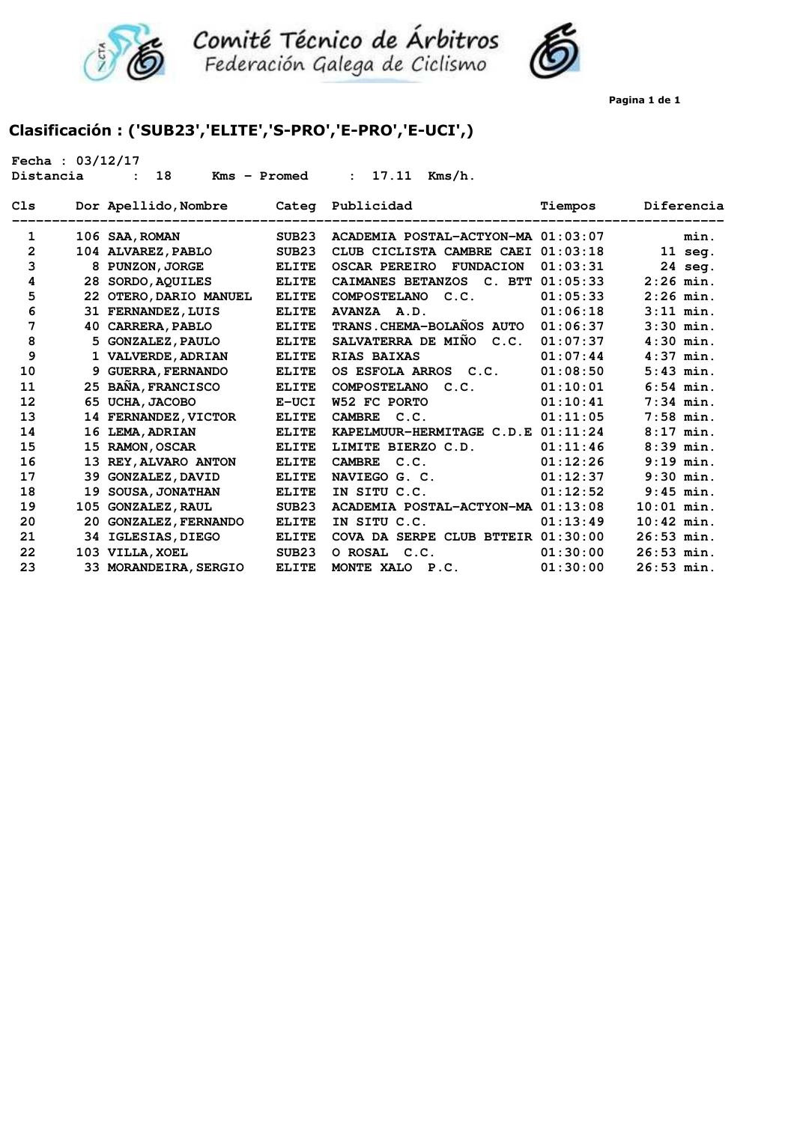



**Pagina 1 de 1**

# **Clasificación : ('SUB23','ELITE','S-PRO','E-PRO','E-UCI',)**

| Fecha : $03/12/17$<br>Distancia | 18                                    | Kms - Promed | 17.11<br>$Kms/h$ .<br>$\mathbf{r}$       |                        |              |
|---------------------------------|---------------------------------------|--------------|------------------------------------------|------------------------|--------------|
| Cls                             | Dor Apellido, Nombre Categ Publicidad | -----------  |                                          | Tiempos<br>----------- | Diferencia   |
| 1                               | 106 SAA, ROMAN                        | SUB23        | ACADEMIA POSTAL-ACTYON-MA 01:03:07       |                        | min.         |
| 2                               | 104 ALVAREZ, PABLO                    | SUB23        | CLUB CICLISTA CAMBRE CAEI 01:03:18       |                        | $11$ seg.    |
| 3                               | 8 PUNZON, JORGE                       | <b>ELITE</b> | <b>OSCAR PEREIRO</b><br><b>FUNDACION</b> | 01:03:31               | 24 seg.      |
| 4                               | 28 SORDO, AQUILES                     | <b>ELITE</b> | CAIMANES BETANZOS C. BTT 01:05:33        |                        | $2:26$ min.  |
| 5                               | 22 OTERO, DARIO MANUEL                | <b>ELITE</b> | COMPOSTELANO C.C.                        | 01:05:33               | $2:26$ min.  |
| 6                               | 31 FERNANDEZ, LUIS                    | <b>ELITE</b> | AVANZA A.D.                              | 01:06:18               | $3:11$ min.  |
| 7                               | 40 CARRERA, PABLO                     | <b>ELITE</b> | TRANS.CHEMA-BOLAÑOS AUTO                 | 01:06:37               | $3:30$ min.  |
| 8                               | 5 GONZALEZ, PAULO                     | <b>ELITE</b> | SALVATERRA DE MIÑO C.C.                  | 01:07:37               | $4:30$ min.  |
| 9                               | 1 VALVERDE, ADRIAN                    | <b>ELITE</b> | <b>RIAS BAIXAS</b>                       | 01:07:44               | $4:37$ min.  |
| 10                              | 9 GUERRA, FERNANDO                    | <b>ELITE</b> | OS ESFOLA ARROS C.C.                     | 01:08:50               | $5:43$ min.  |
| 11                              | 25 BAÑA, FRANCISCO                    | <b>ELITE</b> | COMPOSTELANO C.C.                        | 01:10:01               | $6:54$ min.  |
| 12                              | 65 UCHA, JACOBO                       | $E-UCI$      | W52 FC PORTO                             | 01:10:41               | $7:34$ min.  |
| 13                              | 14 FERNANDEZ, VICTOR                  | <b>ELITE</b> | CAMBRE C.C.                              | 01:11:05               | $7:58$ min.  |
| 14                              | <b>16 LEMA, ADRIAN</b>                | <b>ELITE</b> | KAPELMUUR-HERMITAGE C.D.E $01:11:24$     |                        | $8:17$ min.  |
| 15                              | 15 RAMON, OSCAR                       | <b>ELITE</b> | LIMITE BIERZO C.D.                       | 01:11:46               | $8:39$ min.  |
| 16                              | 13 REY, ALVARO ANTON                  | <b>ELITE</b> | <b>CAMBRE</b><br>C.C.                    | 01:12:26               | $9:19$ min.  |
| 17                              | 39 GONZALEZ, DAVID                    | <b>ELITE</b> | NAVIEGO G. C.                            | 01:12:37               | $9:30$ min.  |
| 18                              | 19 SOUSA, JONATHAN                    | <b>ELITE</b> | IN SITU C.C.                             | 01:12:52               | $9:45$ min.  |
| 19                              | 105 GONZALEZ, RAUL                    | SUB23        | ACADEMIA POSTAL-ACTYON-MA 01:13:08       |                        | $10:01$ min. |
| 20                              | 20 GONZALEZ, FERNANDO                 | <b>ELITE</b> | IN SITU C.C.                             | 01:13:49               | $10:42$ min. |
| 21                              | 34 IGLESIAS, DIEGO                    | <b>ELITE</b> | COVA DA SERPE CLUB BTTEIR $01:30:00$     |                        | $26:53$ min. |
| 22                              | 103 VILLA, XOEL                       | SUB23        | O ROSAL C.C.                             | 01:30:00               | $26:53$ min. |
| 23                              | 33 MORANDEIRA, SERGIO                 | <b>ELITE</b> | MONTE XALO P.C.                          | 01:30:00               | $26:53$ min. |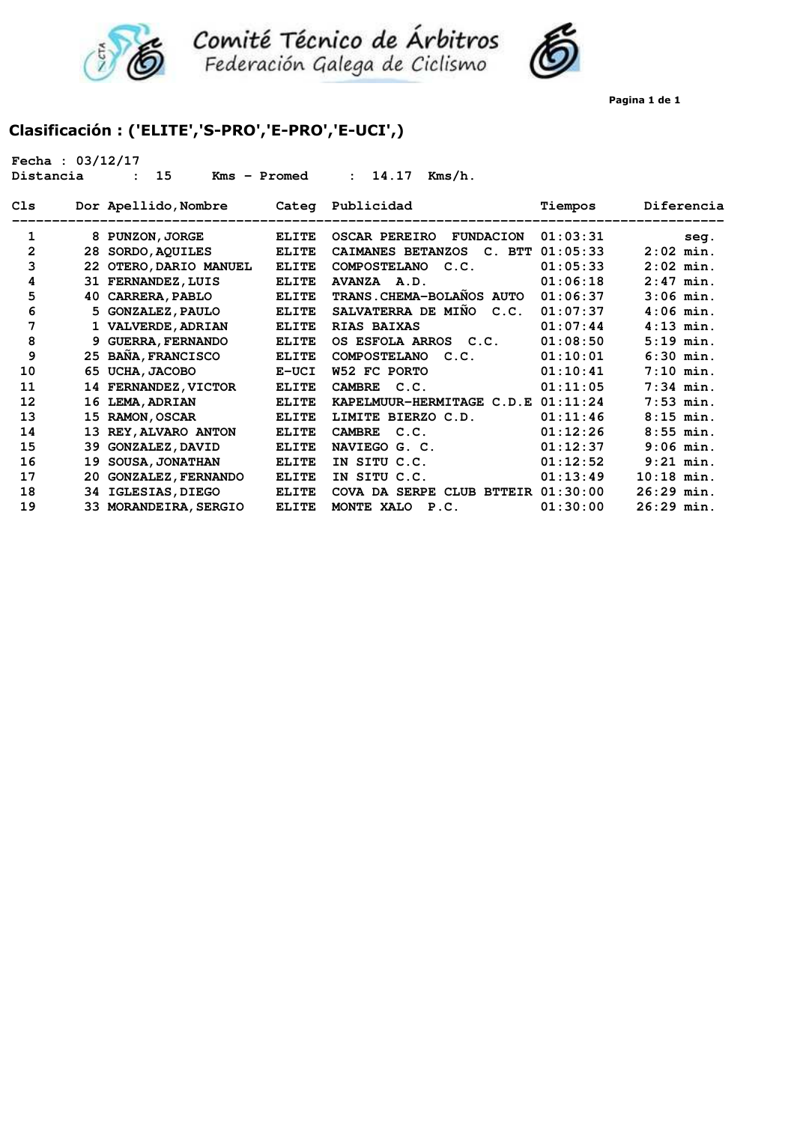



**Pagina 1 de 1**

# **Clasificación : ('ELITE','S-PRO','E-PRO','E-UCI',)**

| Fecha : $03/12/17$<br>Distancia |     | 15<br>Kms - Promed        |              | 14.17<br>$\mathbf{r}$<br>$Kms/h$ .       |          |              |
|---------------------------------|-----|---------------------------|--------------|------------------------------------------|----------|--------------|
| Cls                             |     | Dor Apellido, Nombre      | Categ        | Publicidad                               | Tiempos  | Diferencia   |
| 1                               |     | 8 PUNZON, JORGE           | <b>ELITE</b> | <b>OSCAR PEREIRO</b><br><b>FUNDACION</b> | 01:03:31 | seg.         |
| $\overline{a}$                  |     | 28 SORDO, AQUILES         | <b>ELITE</b> | CAIMANES BETANZOS<br>C. BTT              | 01:05:33 | $2:02$ min.  |
| 3                               | 22  | OTERO, DARIO MANUEL       | <b>ELITE</b> | <b>COMPOSTELANO</b><br>C.C.              | 01:05:33 | $2:02$ min.  |
| 4                               |     | 31 FERNANDEZ, LUIS        | <b>ELITE</b> | AVANZA A.D.                              | 01:06:18 | $2:47$ min.  |
| 5                               |     | 40 CARRERA, PABLO         | <b>ELITE</b> | TRANS. CHEMA-BOLAÑOS AUTO                | 01:06:37 | $3:06$ min.  |
| 6                               |     | 5 GONZALEZ, PAULO         | <b>ELITE</b> | SALVATERRA DE MIÑO<br>C.C.               | 01:07:37 | $4:06$ min.  |
| 7                               |     | 1 VALVERDE, ADRIAN        | <b>ELITE</b> | <b>RIAS BAIXAS</b>                       | 01:07:44 | $4:13$ min.  |
| 8                               |     | 9 GUERRA, FERNANDO        | <b>ELITE</b> | OS ESFOLA ARROS C.C.                     | 01:08:50 | $5:19$ min.  |
| 9                               |     | 25 BAÑA, FRANCISCO        | <b>ELITE</b> | <b>COMPOSTELANO</b><br>C.C.              | 01:10:01 | $6:30$ min.  |
| 10                              |     | 65 UCHA, JACOBO           | E-UCI        | W52 FC PORTO                             | 01:10:41 | $7:10$ min.  |
| 11                              |     | 14 FERNANDEZ, VICTOR      | <b>ELITE</b> | <b>CAMBRE</b><br>C.C.                    | 01:11:05 | $7:34$ min.  |
| 12                              |     | 16 LEMA, ADRIAN           | <b>ELITE</b> | KAPELMUUR-HERMITAGE $C.D.E$ $01:11:24$   |          | $7:53$ min.  |
| 13                              |     | 15 RAMON, OSCAR           | <b>ELITE</b> | LIMITE BIERZO C.D.                       | 01:11:46 | $8:15$ min.  |
| 14                              | 13  | REY, ALVARO ANTON         | <b>ELITE</b> | <b>CAMBRE</b><br>C.C.                    | 01:12:26 | $8:55$ min.  |
| 15                              | 39. | <b>GONZALEZ, DAVID</b>    | <b>ELITE</b> | NAVIEGO G. C.                            | 01:12:37 | $9:06$ min.  |
| 16                              | 19  | <b>SOUSA, JONATHAN</b>    | <b>ELITE</b> | IN SITU C.C.                             | 01:12:52 | $9:21$ min.  |
| 17                              | 20  | <b>GONZALEZ, FERNANDO</b> | <b>ELITE</b> | IN SITU C.C.                             | 01:13:49 | $10:18$ min. |
| 18                              | 34. | IGLESIAS, DIEGO           | <b>ELITE</b> | $COVA$ DA SERPE CLUB BTTEIR $01:30:00$   |          | $26:29$ min. |
| 19                              |     | 33 MORANDEIRA, SERGIO     | <b>ELITE</b> | MONTE XALO<br>P.C.                       | 01:30:00 | $26:29$ min. |